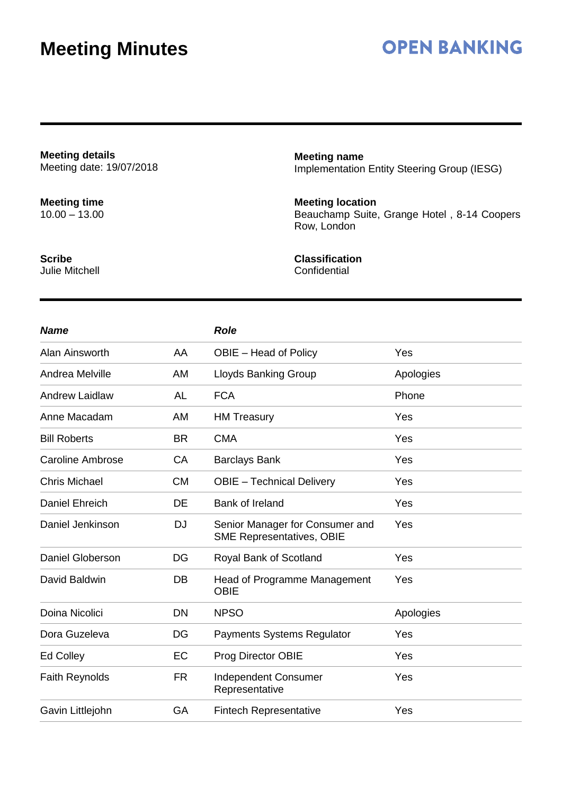## **OPEN BANKING**

**Meeting details** Meeting date: 19/07/2018

**Meeting time** 10.00 – 13.00 **Meeting name** Implementation Entity Steering Group (IESG)

### **Meeting location**

Beauchamp Suite, Grange Hotel , 8-14 Coopers Row, London

**Scribe** Julie Mitchell **Classification**

**Confidential** 

| <b>Name</b>             |           | <b>Role</b>                                                         |           |
|-------------------------|-----------|---------------------------------------------------------------------|-----------|
| Alan Ainsworth          | AA        | OBIE - Head of Policy                                               | Yes       |
| Andrea Melville         | AM        | <b>Lloyds Banking Group</b>                                         | Apologies |
| <b>Andrew Laidlaw</b>   | <b>AL</b> | <b>FCA</b>                                                          | Phone     |
| Anne Macadam            | AM        | <b>HM Treasury</b>                                                  | Yes       |
| <b>Bill Roberts</b>     | <b>BR</b> | <b>CMA</b>                                                          | Yes       |
| <b>Caroline Ambrose</b> | CA        | <b>Barclays Bank</b>                                                | Yes       |
| <b>Chris Michael</b>    | <b>CM</b> | <b>OBIE</b> - Technical Delivery                                    | Yes       |
| <b>Daniel Ehreich</b>   | DE        | <b>Bank of Ireland</b>                                              | Yes       |
| Daniel Jenkinson        | <b>DJ</b> | Senior Manager for Consumer and<br><b>SME Representatives, OBIE</b> | Yes       |
| <b>Daniel Globerson</b> | DG        | Royal Bank of Scotland                                              | Yes       |
| David Baldwin           | DB        | Head of Programme Management<br><b>OBIE</b>                         | Yes       |
| Doina Nicolici          | DN        | <b>NPSO</b>                                                         | Apologies |
| Dora Guzeleva           | DG        | <b>Payments Systems Regulator</b>                                   | Yes       |
| <b>Ed Colley</b>        | EC        | Prog Director OBIE                                                  | Yes       |
| <b>Faith Reynolds</b>   | <b>FR</b> | <b>Independent Consumer</b><br>Representative                       | Yes       |
| Gavin Littlejohn        | GA        | <b>Fintech Representative</b>                                       | Yes       |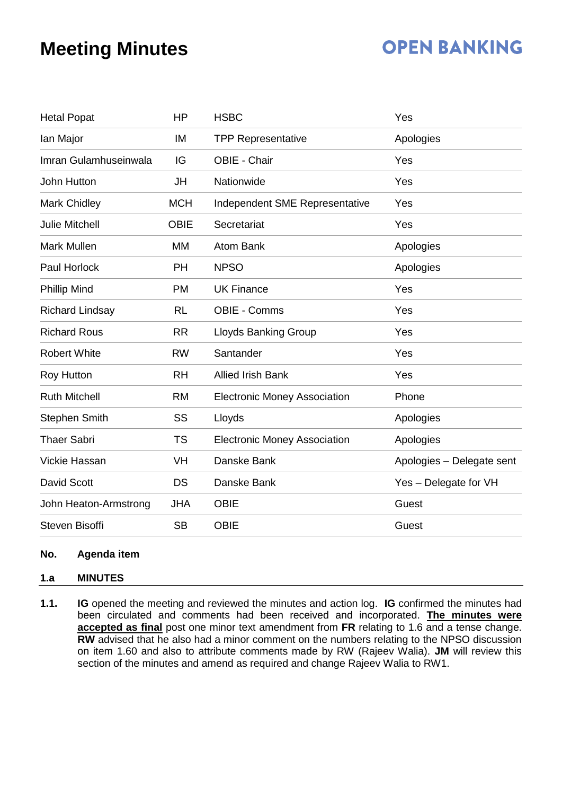# **OPEN BANKING**

| <b>Hetal Popat</b>     | <b>HP</b>   | <b>HSBC</b>                         | Yes                       |  |
|------------------------|-------------|-------------------------------------|---------------------------|--|
| lan Major              | IM          | <b>TPP Representative</b>           | Apologies                 |  |
| Imran Gulamhuseinwala  | IG          | OBIE - Chair                        | Yes                       |  |
| John Hutton            | JH          | Nationwide                          | Yes                       |  |
| Mark Chidley           | <b>MCH</b>  | Independent SME Representative      | Yes                       |  |
| <b>Julie Mitchell</b>  | <b>OBIE</b> | Secretariat                         | Yes                       |  |
| Mark Mullen            | <b>MM</b>   | <b>Atom Bank</b>                    | Apologies                 |  |
| Paul Horlock           | <b>PH</b>   | <b>NPSO</b>                         | Apologies                 |  |
| <b>Phillip Mind</b>    | <b>PM</b>   | <b>UK Finance</b>                   | Yes                       |  |
| <b>Richard Lindsay</b> | <b>RL</b>   | <b>OBIE - Comms</b>                 | Yes                       |  |
| <b>Richard Rous</b>    | <b>RR</b>   | <b>Lloyds Banking Group</b>         | Yes                       |  |
| <b>Robert White</b>    | <b>RW</b>   | Santander                           | Yes                       |  |
| <b>Roy Hutton</b>      | <b>RH</b>   | <b>Allied Irish Bank</b>            | Yes                       |  |
| <b>Ruth Mitchell</b>   | <b>RM</b>   | <b>Electronic Money Association</b> | Phone                     |  |
| <b>Stephen Smith</b>   | SS          | Lloyds                              | Apologies                 |  |
| <b>Thaer Sabri</b>     | <b>TS</b>   | <b>Electronic Money Association</b> | Apologies                 |  |
| Vickie Hassan          | VH          | Danske Bank                         | Apologies - Delegate sent |  |
| David Scott            | <b>DS</b>   | Danske Bank                         | Yes - Delegate for VH     |  |
| John Heaton-Armstrong  | <b>JHA</b>  | <b>OBIE</b>                         | Guest                     |  |
| <b>Steven Bisoffi</b>  | <b>SB</b>   | <b>OBIE</b>                         | Guest                     |  |

### **No. Agenda item**

### **1.a MINUTES**

**1.1. IG** opened the meeting and reviewed the minutes and action log. **IG** confirmed the minutes had been circulated and comments had been received and incorporated. **The minutes were accepted as final** post one minor text amendment from **FR** relating to 1.6 and a tense change. **RW** advised that he also had a minor comment on the numbers relating to the NPSO discussion on item 1.60 and also to attribute comments made by RW (Rajeev Walia). **JM** will review this section of the minutes and amend as required and change Rajeev Walia to RW1.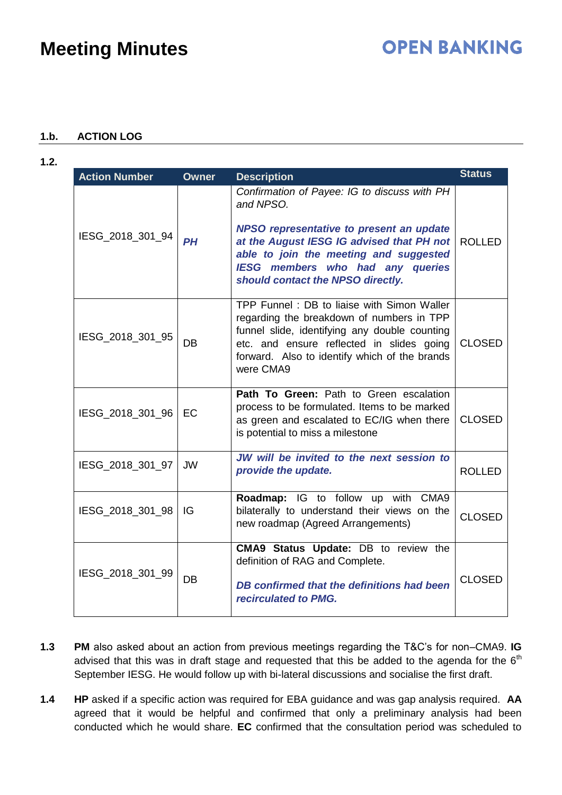### **1.b. ACTION LOG**

| I |
|---|
|   |

| <b>Action Number</b> | <b>Owner</b> | <b>Description</b>                                                                                                                                                                                                                                                    | <b>Status</b> |
|----------------------|--------------|-----------------------------------------------------------------------------------------------------------------------------------------------------------------------------------------------------------------------------------------------------------------------|---------------|
| IESG_2018_301_94     | <b>PH</b>    | Confirmation of Payee: IG to discuss with PH<br>and NPSO.<br>NPSO representative to present an update<br>at the August IESG IG advised that PH not<br>able to join the meeting and suggested<br>IESG members who had any queries<br>should contact the NPSO directly. | <b>ROLLED</b> |
| IESG_2018_301_95     | <b>DB</b>    | TPP Funnel: DB to liaise with Simon Waller<br>regarding the breakdown of numbers in TPP<br>funnel slide, identifying any double counting<br>etc. and ensure reflected in slides going<br>forward. Also to identify which of the brands<br>were CMA9                   | <b>CLOSED</b> |
| IESG_2018_301_96     | EC           | Path To Green: Path to Green escalation<br>process to be formulated. Items to be marked<br>as green and escalated to EC/IG when there<br>is potential to miss a milestone                                                                                             | <b>CLOSED</b> |
| IESG 2018 301 97     | <b>JW</b>    | JW will be invited to the next session to<br>provide the update.                                                                                                                                                                                                      | <b>ROLLED</b> |
| IESG_2018_301_98     | IG           | Roadmap: IG to follow up with CMA9<br>bilaterally to understand their views on the<br>new roadmap (Agreed Arrangements)                                                                                                                                               | <b>CLOSED</b> |
| IESG_2018_301_99     | DB           | CMA9 Status Update: DB to review the<br>definition of RAG and Complete.<br>DB confirmed that the definitions had been<br>recirculated to PMG.                                                                                                                         | <b>CLOSED</b> |

- **1.3 PM** also asked about an action from previous meetings regarding the T&C's for non–CMA9. **IG** advised that this was in draft stage and requested that this be added to the agenda for the  $6<sup>th</sup>$ September IESG. He would follow up with bi-lateral discussions and socialise the first draft.
- **1.4 HP** asked if a specific action was required for EBA guidance and was gap analysis required. **AA** agreed that it would be helpful and confirmed that only a preliminary analysis had been conducted which he would share. **EC** confirmed that the consultation period was scheduled to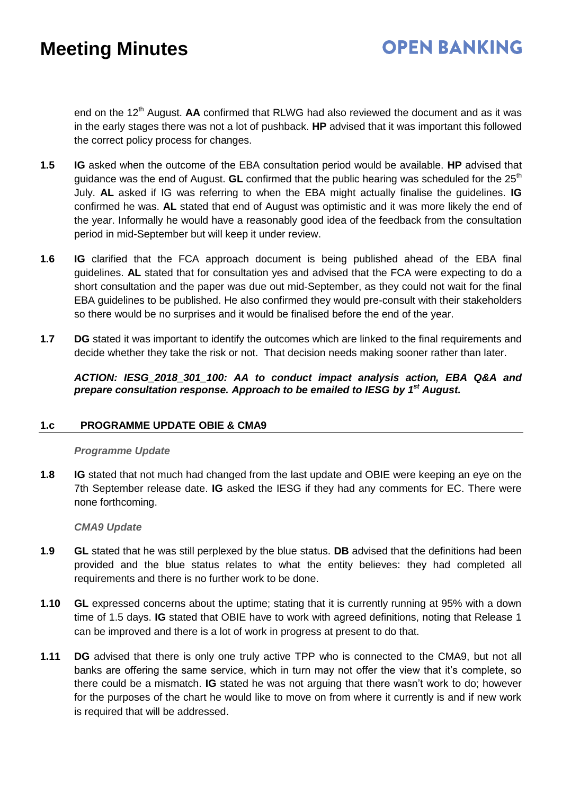# **OPEN BANKING**

end on the 12<sup>th</sup> August. **AA** confirmed that RLWG had also reviewed the document and as it was in the early stages there was not a lot of pushback. **HP** advised that it was important this followed the correct policy process for changes.

- **1.5 IG** asked when the outcome of the EBA consultation period would be available. **HP** advised that guidance was the end of August. **GL** confirmed that the public hearing was scheduled for the 25<sup>th</sup> July. **AL** asked if IG was referring to when the EBA might actually finalise the guidelines. **IG**  confirmed he was. **AL** stated that end of August was optimistic and it was more likely the end of the year. Informally he would have a reasonably good idea of the feedback from the consultation period in mid-September but will keep it under review.
- **1.6 IG** clarified that the FCA approach document is being published ahead of the EBA final guidelines. **AL** stated that for consultation yes and advised that the FCA were expecting to do a short consultation and the paper was due out mid-September, as they could not wait for the final EBA guidelines to be published. He also confirmed they would pre-consult with their stakeholders so there would be no surprises and it would be finalised before the end of the year.
- **1.7 DG** stated it was important to identify the outcomes which are linked to the final requirements and decide whether they take the risk or not. That decision needs making sooner rather than later.

*ACTION: IESG\_2018\_301\_100: AA to conduct impact analysis action, EBA Q&A and*  prepare consultation response. Approach to be emailed to IESG by 1<sup>st</sup> August.

### **1.c PROGRAMME UPDATE OBIE & CMA9**

### *Programme Update*

**1.8 IG** stated that not much had changed from the last update and OBIE were keeping an eye on the 7th September release date. **IG** asked the IESG if they had any comments for EC. There were none forthcoming.

### *CMA9 Update*

- **1.9 GL** stated that he was still perplexed by the blue status. **DB** advised that the definitions had been provided and the blue status relates to what the entity believes: they had completed all requirements and there is no further work to be done.
- **1.10 GL** expressed concerns about the uptime; stating that it is currently running at 95% with a down time of 1.5 days. **IG** stated that OBIE have to work with agreed definitions, noting that Release 1 can be improved and there is a lot of work in progress at present to do that.
- **1.11 DG** advised that there is only one truly active TPP who is connected to the CMA9, but not all banks are offering the same service, which in turn may not offer the view that it's complete, so there could be a mismatch. **IG** stated he was not arguing that there wasn't work to do; however for the purposes of the chart he would like to move on from where it currently is and if new work is required that will be addressed.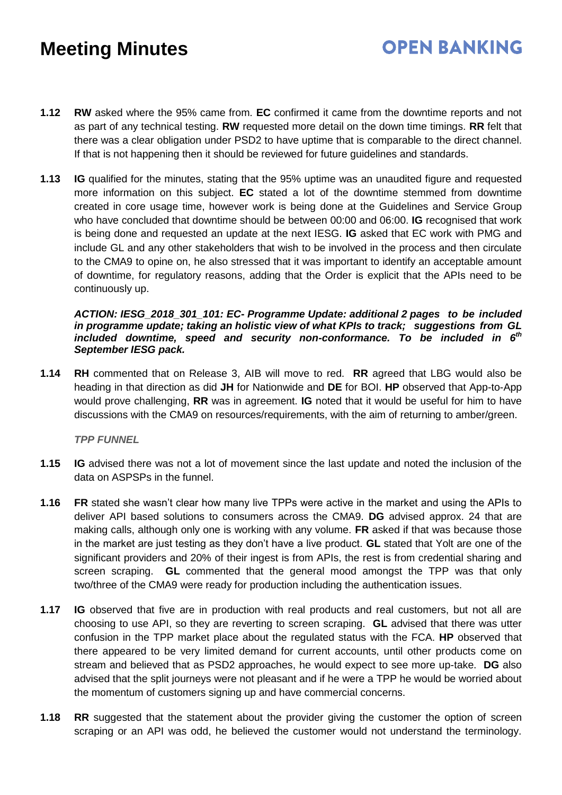- **OPEN BANKING**
- **1.12 RW** asked where the 95% came from. **EC** confirmed it came from the downtime reports and not as part of any technical testing. **RW** requested more detail on the down time timings. **RR** felt that there was a clear obligation under PSD2 to have uptime that is comparable to the direct channel. If that is not happening then it should be reviewed for future guidelines and standards.
- **1.13 IG** qualified for the minutes, stating that the 95% uptime was an unaudited figure and requested more information on this subject. **EC** stated a lot of the downtime stemmed from downtime created in core usage time, however work is being done at the Guidelines and Service Group who have concluded that downtime should be between 00:00 and 06:00. **IG** recognised that work is being done and requested an update at the next IESG. **IG** asked that EC work with PMG and include GL and any other stakeholders that wish to be involved in the process and then circulate to the CMA9 to opine on, he also stressed that it was important to identify an acceptable amount of downtime, for regulatory reasons, adding that the Order is explicit that the APIs need to be continuously up.

#### *ACTION: IESG\_2018\_301\_101: EC- Programme Update: additional 2 pages to be included in programme update; taking an holistic view of what KPIs to track; suggestions from GL*  included downtime, speed and security non-conformance. To be included in 6<sup>th</sup> *September IESG pack.*

**1.14 RH** commented that on Release 3, AIB will move to red. **RR** agreed that LBG would also be heading in that direction as did **JH** for Nationwide and **DE** for BOI. **HP** observed that App-to-App would prove challenging, **RR** was in agreement. **IG** noted that it would be useful for him to have discussions with the CMA9 on resources/requirements, with the aim of returning to amber/green.

*TPP FUNNEL*

- **1.15 IG** advised there was not a lot of movement since the last update and noted the inclusion of the data on ASPSPs in the funnel.
- **1.16 FR** stated she wasn't clear how many live TPPs were active in the market and using the APIs to deliver API based solutions to consumers across the CMA9. **DG** advised approx. 24 that are making calls, although only one is working with any volume. **FR** asked if that was because those in the market are just testing as they don't have a live product. **GL** stated that Yolt are one of the significant providers and 20% of their ingest is from APIs, the rest is from credential sharing and screen scraping. **GL** commented that the general mood amongst the TPP was that only two/three of the CMA9 were ready for production including the authentication issues.
- **1.17 IG** observed that five are in production with real products and real customers, but not all are choosing to use API, so they are reverting to screen scraping. **GL** advised that there was utter confusion in the TPP market place about the regulated status with the FCA. **HP** observed that there appeared to be very limited demand for current accounts, until other products come on stream and believed that as PSD2 approaches, he would expect to see more up-take. **DG** also advised that the split journeys were not pleasant and if he were a TPP he would be worried about the momentum of customers signing up and have commercial concerns.
- **1.18 RR** suggested that the statement about the provider giving the customer the option of screen scraping or an API was odd, he believed the customer would not understand the terminology.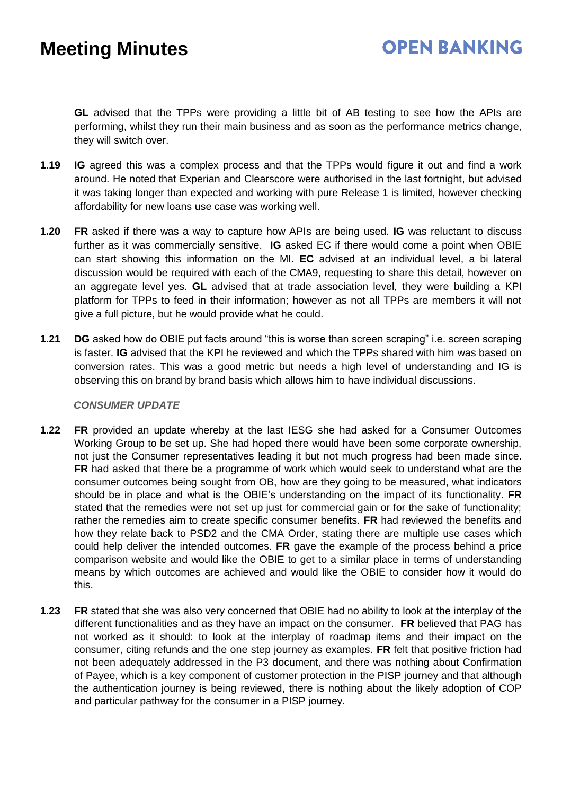**GL** advised that the TPPs were providing a little bit of AB testing to see how the APIs are performing, whilst they run their main business and as soon as the performance metrics change, they will switch over.

- **1.19 IG** agreed this was a complex process and that the TPPs would figure it out and find a work around. He noted that Experian and Clearscore were authorised in the last fortnight, but advised it was taking longer than expected and working with pure Release 1 is limited, however checking affordability for new loans use case was working well.
- **1.20 FR** asked if there was a way to capture how APIs are being used. **IG** was reluctant to discuss further as it was commercially sensitive. **IG** asked EC if there would come a point when OBIE can start showing this information on the MI. **EC** advised at an individual level, a bi lateral discussion would be required with each of the CMA9, requesting to share this detail, however on an aggregate level yes. **GL** advised that at trade association level, they were building a KPI platform for TPPs to feed in their information; however as not all TPPs are members it will not give a full picture, but he would provide what he could.
- **1.21 DG** asked how do OBIE put facts around "this is worse than screen scraping" i.e. screen scraping is faster. **IG** advised that the KPI he reviewed and which the TPPs shared with him was based on conversion rates. This was a good metric but needs a high level of understanding and IG is observing this on brand by brand basis which allows him to have individual discussions.

#### *CONSUMER UPDATE*

- **1.22 FR** provided an update whereby at the last IESG she had asked for a Consumer Outcomes Working Group to be set up. She had hoped there would have been some corporate ownership, not just the Consumer representatives leading it but not much progress had been made since. **FR** had asked that there be a programme of work which would seek to understand what are the consumer outcomes being sought from OB, how are they going to be measured, what indicators should be in place and what is the OBIE's understanding on the impact of its functionality. **FR** stated that the remedies were not set up just for commercial gain or for the sake of functionality; rather the remedies aim to create specific consumer benefits. **FR** had reviewed the benefits and how they relate back to PSD2 and the CMA Order, stating there are multiple use cases which could help deliver the intended outcomes. **FR** gave the example of the process behind a price comparison website and would like the OBIE to get to a similar place in terms of understanding means by which outcomes are achieved and would like the OBIE to consider how it would do this.
- **1.23 FR** stated that she was also very concerned that OBIE had no ability to look at the interplay of the different functionalities and as they have an impact on the consumer. **FR** believed that PAG has not worked as it should: to look at the interplay of roadmap items and their impact on the consumer, citing refunds and the one step journey as examples. **FR** felt that positive friction had not been adequately addressed in the P3 document, and there was nothing about Confirmation of Payee, which is a key component of customer protection in the PISP journey and that although the authentication journey is being reviewed, there is nothing about the likely adoption of COP and particular pathway for the consumer in a PISP journey.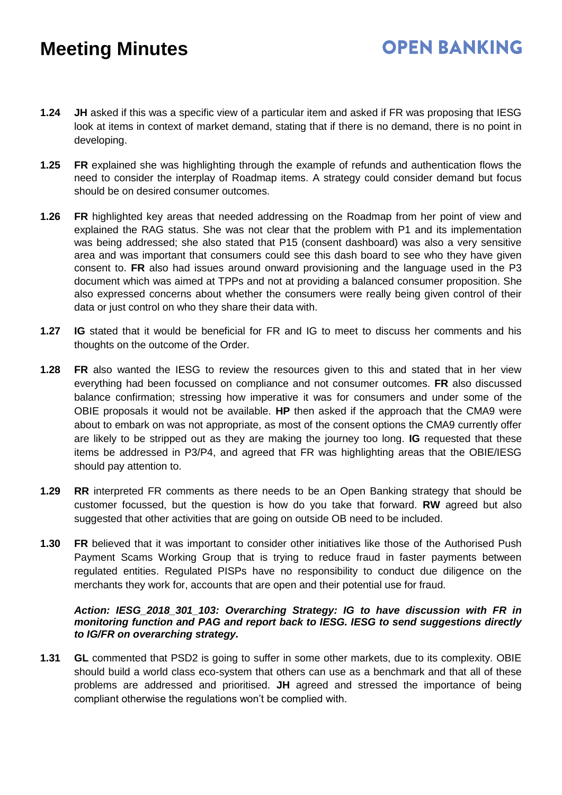- **1.24 JH** asked if this was a specific view of a particular item and asked if FR was proposing that IESG look at items in context of market demand, stating that if there is no demand, there is no point in developing.
- **1.25 FR** explained she was highlighting through the example of refunds and authentication flows the need to consider the interplay of Roadmap items. A strategy could consider demand but focus should be on desired consumer outcomes.
- **1.26 FR** highlighted key areas that needed addressing on the Roadmap from her point of view and explained the RAG status. She was not clear that the problem with P1 and its implementation was being addressed; she also stated that P15 (consent dashboard) was also a very sensitive area and was important that consumers could see this dash board to see who they have given consent to. **FR** also had issues around onward provisioning and the language used in the P3 document which was aimed at TPPs and not at providing a balanced consumer proposition. She also expressed concerns about whether the consumers were really being given control of their data or just control on who they share their data with.
- **1.27 IG** stated that it would be beneficial for FR and IG to meet to discuss her comments and his thoughts on the outcome of the Order.
- **1.28 FR** also wanted the IESG to review the resources given to this and stated that in her view everything had been focussed on compliance and not consumer outcomes. **FR** also discussed balance confirmation; stressing how imperative it was for consumers and under some of the OBIE proposals it would not be available. **HP** then asked if the approach that the CMA9 were about to embark on was not appropriate, as most of the consent options the CMA9 currently offer are likely to be stripped out as they are making the journey too long. **IG** requested that these items be addressed in P3/P4, and agreed that FR was highlighting areas that the OBIE/IESG should pay attention to.
- **1.29 RR** interpreted FR comments as there needs to be an Open Banking strategy that should be customer focussed, but the question is how do you take that forward. **RW** agreed but also suggested that other activities that are going on outside OB need to be included.
- **1.30 FR** believed that it was important to consider other initiatives like those of the Authorised Push Payment Scams Working Group that is trying to reduce fraud in faster payments between regulated entities. Regulated PISPs have no responsibility to conduct due diligence on the merchants they work for, accounts that are open and their potential use for fraud.

#### *Action: IESG\_2018\_301\_103: Overarching Strategy: IG to have discussion with FR in monitoring function and PAG and report back to IESG. IESG to send suggestions directly to IG/FR on overarching strategy.*

**1.31 GL** commented that PSD2 is going to suffer in some other markets, due to its complexity. OBIE should build a world class eco-system that others can use as a benchmark and that all of these problems are addressed and prioritised. **JH** agreed and stressed the importance of being compliant otherwise the regulations won't be complied with.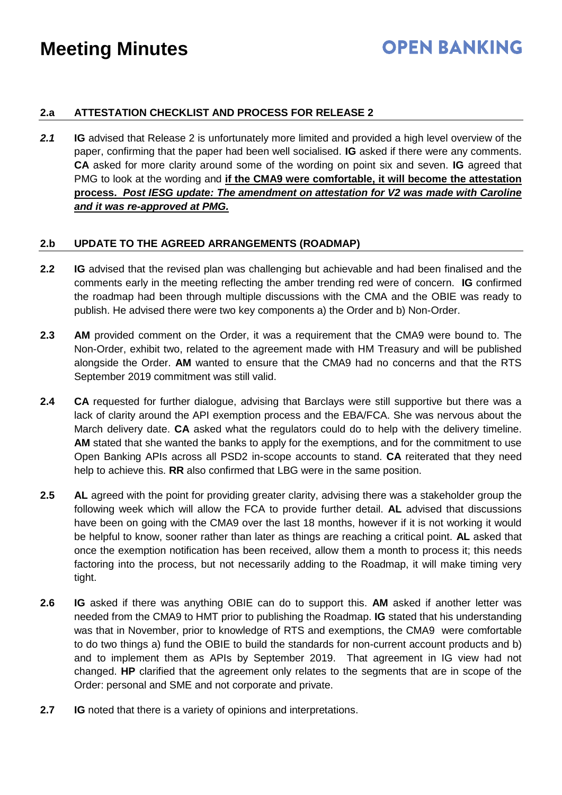### **OPEN BANKING**

### **2.a ATTESTATION CHECKLIST AND PROCESS FOR RELEASE 2**

2.1 **IG** advised that Release 2 is unfortunately more limited and provided a high level overview of the paper, confirming that the paper had been well socialised. **IG** asked if there were any comments. **CA** asked for more clarity around some of the wording on point six and seven. **IG** agreed that PMG to look at the wording and **if the CMA9 were comfortable, it will become the attestation process.** *Post IESG update: The amendment on attestation for V2 was made with Caroline and it was re-approved at PMG.*

### **2.b UPDATE TO THE AGREED ARRANGEMENTS (ROADMAP)**

- **2.2 IG** advised that the revised plan was challenging but achievable and had been finalised and the comments early in the meeting reflecting the amber trending red were of concern. **IG** confirmed the roadmap had been through multiple discussions with the CMA and the OBIE was ready to publish. He advised there were two key components a) the Order and b) Non-Order.
- **2.3 AM** provided comment on the Order, it was a requirement that the CMA9 were bound to. The Non-Order, exhibit two, related to the agreement made with HM Treasury and will be published alongside the Order. **AM** wanted to ensure that the CMA9 had no concerns and that the RTS September 2019 commitment was still valid.
- **2.4 CA** requested for further dialogue, advising that Barclays were still supportive but there was a lack of clarity around the API exemption process and the EBA/FCA. She was nervous about the March delivery date. **CA** asked what the regulators could do to help with the delivery timeline. **AM** stated that she wanted the banks to apply for the exemptions, and for the commitment to use Open Banking APIs across all PSD2 in-scope accounts to stand. **CA** reiterated that they need help to achieve this. **RR** also confirmed that LBG were in the same position.
- **2.5 AL** agreed with the point for providing greater clarity, advising there was a stakeholder group the following week which will allow the FCA to provide further detail. **AL** advised that discussions have been on going with the CMA9 over the last 18 months, however if it is not working it would be helpful to know, sooner rather than later as things are reaching a critical point. **AL** asked that once the exemption notification has been received, allow them a month to process it; this needs factoring into the process, but not necessarily adding to the Roadmap, it will make timing very tight.
- **2.6 IG** asked if there was anything OBIE can do to support this. **AM** asked if another letter was needed from the CMA9 to HMT prior to publishing the Roadmap. **IG** stated that his understanding was that in November, prior to knowledge of RTS and exemptions, the CMA9 were comfortable to do two things a) fund the OBIE to build the standards for non-current account products and b) and to implement them as APIs by September 2019. That agreement in IG view had not changed. **HP** clarified that the agreement only relates to the segments that are in scope of the Order: personal and SME and not corporate and private.
- **2.7 IG** noted that there is a variety of opinions and interpretations.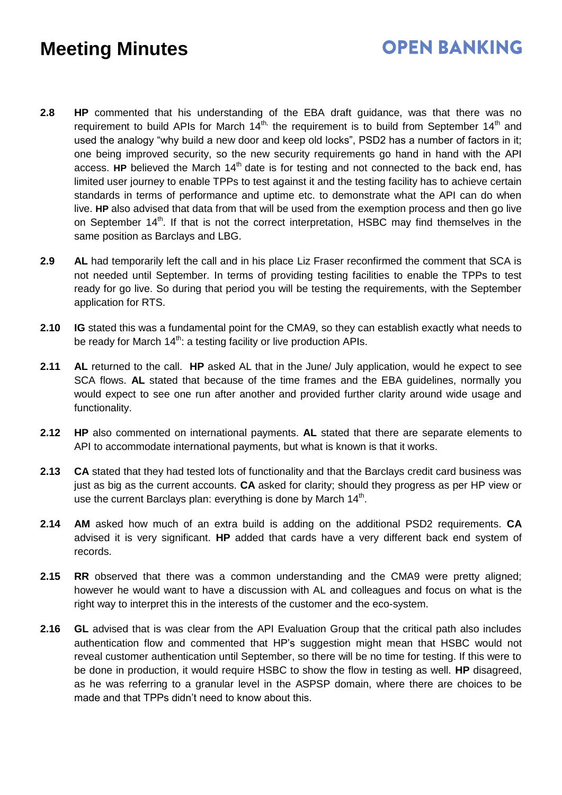## **OPEN BANKING**

- **2.8 HP** commented that his understanding of the EBA draft guidance, was that there was no requirement to build APIs for March  $14<sup>th</sup>$ , the requirement is to build from September  $14<sup>th</sup>$  and used the analogy "why build a new door and keep old locks", PSD2 has a number of factors in it; one being improved security, so the new security requirements go hand in hand with the API access. **HP** believed the March 14<sup>th</sup> date is for testing and not connected to the back end, has limited user journey to enable TPPs to test against it and the testing facility has to achieve certain standards in terms of performance and uptime etc. to demonstrate what the API can do when live. **HP** also advised that data from that will be used from the exemption process and then go live on September 14<sup>th</sup>. If that is not the correct interpretation, HSBC may find themselves in the same position as Barclays and LBG.
- **2.9 AL** had temporarily left the call and in his place Liz Fraser reconfirmed the comment that SCA is not needed until September. In terms of providing testing facilities to enable the TPPs to test ready for go live. So during that period you will be testing the requirements, with the September application for RTS.
- **2.10 IG** stated this was a fundamental point for the CMA9, so they can establish exactly what needs to be ready for March  $14<sup>th</sup>$ : a testing facility or live production APIs.
- **2.11 AL** returned to the call. **HP** asked AL that in the June/ July application, would he expect to see SCA flows. **AL** stated that because of the time frames and the EBA guidelines, normally you would expect to see one run after another and provided further clarity around wide usage and functionality.
- **2.12 HP** also commented on international payments. **AL** stated that there are separate elements to API to accommodate international payments, but what is known is that it works.
- **2.13 CA** stated that they had tested lots of functionality and that the Barclays credit card business was just as big as the current accounts. **CA** asked for clarity; should they progress as per HP view or use the current Barclays plan: everything is done by March 14<sup>th</sup>.
- **2.14 AM** asked how much of an extra build is adding on the additional PSD2 requirements. **CA**  advised it is very significant. **HP** added that cards have a very different back end system of records.
- **2.15 RR** observed that there was a common understanding and the CMA9 were pretty aligned; however he would want to have a discussion with AL and colleagues and focus on what is the right way to interpret this in the interests of the customer and the eco-system.
- **2.16 GL** advised that is was clear from the API Evaluation Group that the critical path also includes authentication flow and commented that HP's suggestion might mean that HSBC would not reveal customer authentication until September, so there will be no time for testing. If this were to be done in production, it would require HSBC to show the flow in testing as well. **HP** disagreed, as he was referring to a granular level in the ASPSP domain, where there are choices to be made and that TPPs didn't need to know about this.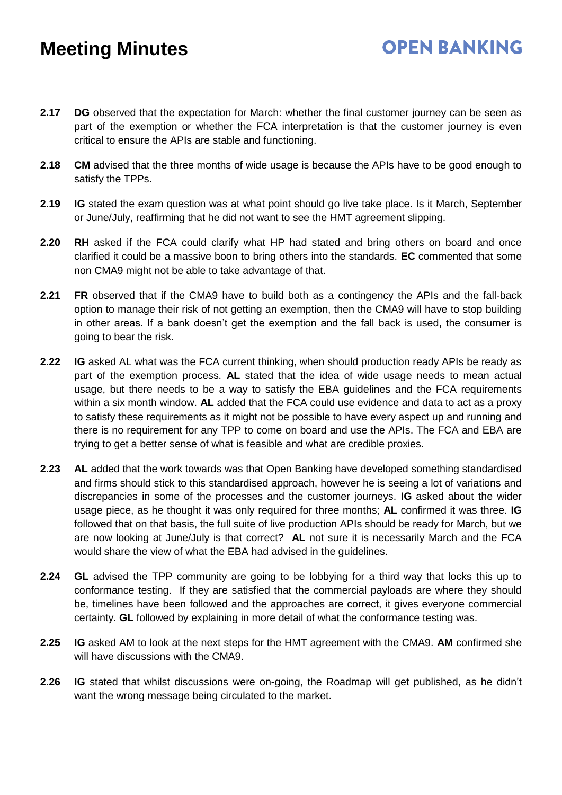**2.17 DG** observed that the expectation for March: whether the final customer journey can be seen as part of the exemption or whether the FCA interpretation is that the customer journey is even critical to ensure the APIs are stable and functioning.

**OPEN BANKING** 

- **2.18 CM** advised that the three months of wide usage is because the APIs have to be good enough to satisfy the TPPs.
- **2.19 IG** stated the exam question was at what point should go live take place. Is it March, September or June/July, reaffirming that he did not want to see the HMT agreement slipping.
- **2.20 RH** asked if the FCA could clarify what HP had stated and bring others on board and once clarified it could be a massive boon to bring others into the standards. **EC** commented that some non CMA9 might not be able to take advantage of that.
- **2.21 FR** observed that if the CMA9 have to build both as a contingency the APIs and the fall-back option to manage their risk of not getting an exemption, then the CMA9 will have to stop building in other areas. If a bank doesn't get the exemption and the fall back is used, the consumer is going to bear the risk.
- **2.22 IG** asked AL what was the FCA current thinking, when should production ready APIs be ready as part of the exemption process. **AL** stated that the idea of wide usage needs to mean actual usage, but there needs to be a way to satisfy the EBA guidelines and the FCA requirements within a six month window. **AL** added that the FCA could use evidence and data to act as a proxy to satisfy these requirements as it might not be possible to have every aspect up and running and there is no requirement for any TPP to come on board and use the APIs. The FCA and EBA are trying to get a better sense of what is feasible and what are credible proxies.
- **2.23 AL** added that the work towards was that Open Banking have developed something standardised and firms should stick to this standardised approach, however he is seeing a lot of variations and discrepancies in some of the processes and the customer journeys. **IG** asked about the wider usage piece, as he thought it was only required for three months; **AL** confirmed it was three. **IG**  followed that on that basis, the full suite of live production APIs should be ready for March, but we are now looking at June/July is that correct? **AL** not sure it is necessarily March and the FCA would share the view of what the EBA had advised in the guidelines.
- **2.24 GL** advised the TPP community are going to be lobbying for a third way that locks this up to conformance testing. If they are satisfied that the commercial payloads are where they should be, timelines have been followed and the approaches are correct, it gives everyone commercial certainty. **GL** followed by explaining in more detail of what the conformance testing was.
- **2.25 IG** asked AM to look at the next steps for the HMT agreement with the CMA9. **AM** confirmed she will have discussions with the CMA9.
- **2.26 IG** stated that whilst discussions were on-going, the Roadmap will get published, as he didn't want the wrong message being circulated to the market.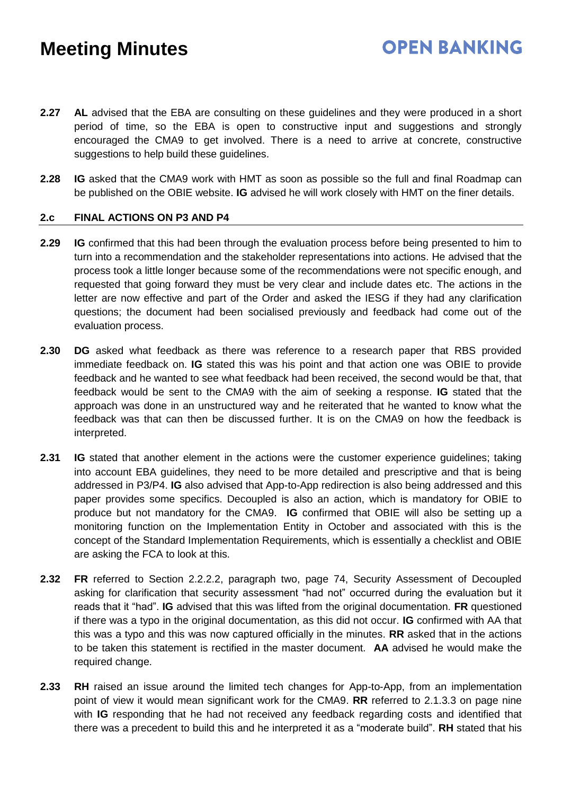**2.27 AL** advised that the EBA are consulting on these guidelines and they were produced in a short period of time, so the EBA is open to constructive input and suggestions and strongly encouraged the CMA9 to get involved. There is a need to arrive at concrete, constructive suggestions to help build these guidelines.

**OPEN BANKING** 

**2.28 IG** asked that the CMA9 work with HMT as soon as possible so the full and final Roadmap can be published on the OBIE website. **IG** advised he will work closely with HMT on the finer details.

### **2.c FINAL ACTIONS ON P3 AND P4**

- **2.29 IG** confirmed that this had been through the evaluation process before being presented to him to turn into a recommendation and the stakeholder representations into actions. He advised that the process took a little longer because some of the recommendations were not specific enough, and requested that going forward they must be very clear and include dates etc. The actions in the letter are now effective and part of the Order and asked the IESG if they had any clarification questions; the document had been socialised previously and feedback had come out of the evaluation process.
- **2.30 DG** asked what feedback as there was reference to a research paper that RBS provided immediate feedback on. **IG** stated this was his point and that action one was OBIE to provide feedback and he wanted to see what feedback had been received, the second would be that, that feedback would be sent to the CMA9 with the aim of seeking a response. **IG** stated that the approach was done in an unstructured way and he reiterated that he wanted to know what the feedback was that can then be discussed further. It is on the CMA9 on how the feedback is interpreted.
- **2.31 IG** stated that another element in the actions were the customer experience guidelines; taking into account EBA guidelines, they need to be more detailed and prescriptive and that is being addressed in P3/P4. **IG** also advised that App-to-App redirection is also being addressed and this paper provides some specifics. Decoupled is also an action, which is mandatory for OBIE to produce but not mandatory for the CMA9. **IG** confirmed that OBIE will also be setting up a monitoring function on the Implementation Entity in October and associated with this is the concept of the Standard Implementation Requirements, which is essentially a checklist and OBIE are asking the FCA to look at this.
- **2.32 FR** referred to Section 2.2.2.2, paragraph two, page 74, Security Assessment of Decoupled asking for clarification that security assessment "had not" occurred during the evaluation but it reads that it "had". **IG** advised that this was lifted from the original documentation. **FR** questioned if there was a typo in the original documentation, as this did not occur. **IG** confirmed with AA that this was a typo and this was now captured officially in the minutes. **RR** asked that in the actions to be taken this statement is rectified in the master document. **AA** advised he would make the required change.
- **2.33 RH** raised an issue around the limited tech changes for App-to-App, from an implementation point of view it would mean significant work for the CMA9. **RR** referred to 2.1.3.3 on page nine with **IG** responding that he had not received any feedback regarding costs and identified that there was a precedent to build this and he interpreted it as a "moderate build". **RH** stated that his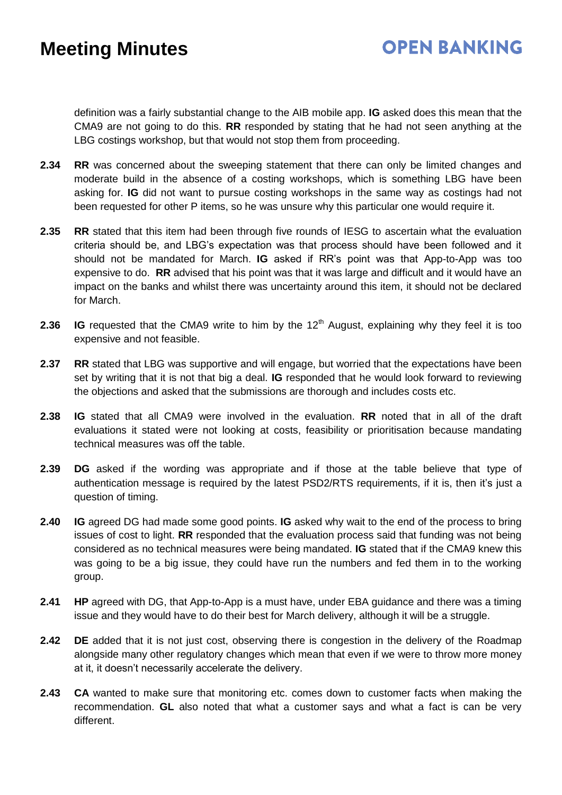### **OPEN BANKING**

definition was a fairly substantial change to the AIB mobile app. **IG** asked does this mean that the CMA9 are not going to do this. **RR** responded by stating that he had not seen anything at the LBG costings workshop, but that would not stop them from proceeding.

- **2.34 RR** was concerned about the sweeping statement that there can only be limited changes and moderate build in the absence of a costing workshops, which is something LBG have been asking for. **IG** did not want to pursue costing workshops in the same way as costings had not been requested for other P items, so he was unsure why this particular one would require it.
- **2.35 RR** stated that this item had been through five rounds of IESG to ascertain what the evaluation criteria should be, and LBG's expectation was that process should have been followed and it should not be mandated for March. **IG** asked if RR's point was that App-to-App was too expensive to do. **RR** advised that his point was that it was large and difficult and it would have an impact on the banks and whilst there was uncertainty around this item, it should not be declared for March.
- **2.36 IG** requested that the CMA9 write to him by the  $12<sup>th</sup>$  August, explaining why they feel it is too expensive and not feasible.
- **2.37 RR** stated that LBG was supportive and will engage, but worried that the expectations have been set by writing that it is not that big a deal. **IG** responded that he would look forward to reviewing the objections and asked that the submissions are thorough and includes costs etc.
- **2.38 IG** stated that all CMA9 were involved in the evaluation. **RR** noted that in all of the draft evaluations it stated were not looking at costs, feasibility or prioritisation because mandating technical measures was off the table.
- **2.39 DG** asked if the wording was appropriate and if those at the table believe that type of authentication message is required by the latest PSD2/RTS requirements, if it is, then it's just a question of timing.
- **2.40 IG** agreed DG had made some good points. **IG** asked why wait to the end of the process to bring issues of cost to light. **RR** responded that the evaluation process said that funding was not being considered as no technical measures were being mandated. **IG** stated that if the CMA9 knew this was going to be a big issue, they could have run the numbers and fed them in to the working group.
- **2.41 HP** agreed with DG, that App-to-App is a must have, under EBA guidance and there was a timing issue and they would have to do their best for March delivery, although it will be a struggle.
- **2.42 DE** added that it is not just cost, observing there is congestion in the delivery of the Roadmap alongside many other regulatory changes which mean that even if we were to throw more money at it, it doesn't necessarily accelerate the delivery.
- **2.43 CA** wanted to make sure that monitoring etc. comes down to customer facts when making the recommendation. **GL** also noted that what a customer says and what a fact is can be very different.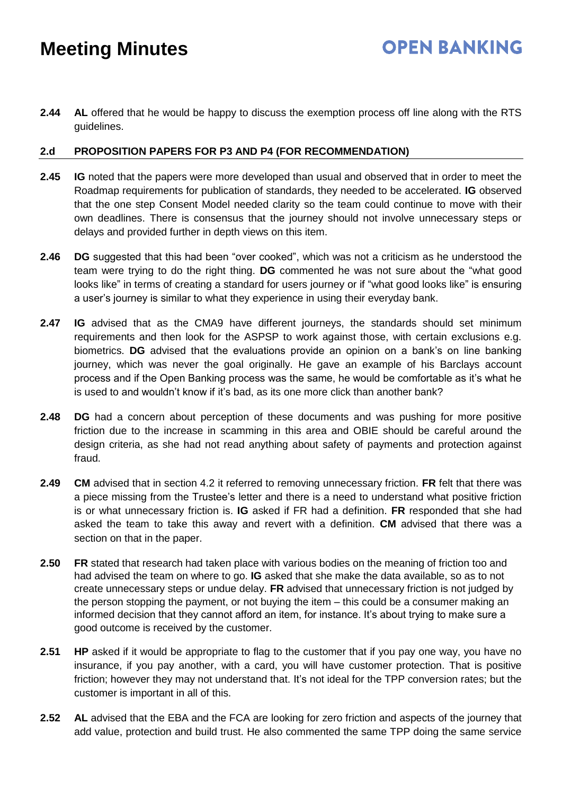**2.44 AL** offered that he would be happy to discuss the exemption process off line along with the RTS guidelines.

### **2.d PROPOSITION PAPERS FOR P3 AND P4 (FOR RECOMMENDATION)**

- **2.45 IG** noted that the papers were more developed than usual and observed that in order to meet the Roadmap requirements for publication of standards, they needed to be accelerated. **IG** observed that the one step Consent Model needed clarity so the team could continue to move with their own deadlines. There is consensus that the journey should not involve unnecessary steps or delays and provided further in depth views on this item.
- **2.46 DG** suggested that this had been "over cooked", which was not a criticism as he understood the team were trying to do the right thing. **DG** commented he was not sure about the "what good looks like" in terms of creating a standard for users journey or if "what good looks like" is ensuring a user's journey is similar to what they experience in using their everyday bank.
- **2.47 IG** advised that as the CMA9 have different journeys, the standards should set minimum requirements and then look for the ASPSP to work against those, with certain exclusions e.g. biometrics. **DG** advised that the evaluations provide an opinion on a bank's on line banking journey, which was never the goal originally. He gave an example of his Barclays account process and if the Open Banking process was the same, he would be comfortable as it's what he is used to and wouldn't know if it's bad, as its one more click than another bank?
- **2.48 DG** had a concern about perception of these documents and was pushing for more positive friction due to the increase in scamming in this area and OBIE should be careful around the design criteria, as she had not read anything about safety of payments and protection against fraud.
- **2.49 CM** advised that in section 4.2 it referred to removing unnecessary friction. **FR** felt that there was a piece missing from the Trustee's letter and there is a need to understand what positive friction is or what unnecessary friction is. **IG** asked if FR had a definition. **FR** responded that she had asked the team to take this away and revert with a definition. **CM** advised that there was a section on that in the paper.
- **2.50 FR** stated that research had taken place with various bodies on the meaning of friction too and had advised the team on where to go. **IG** asked that she make the data available, so as to not create unnecessary steps or undue delay. **FR** advised that unnecessary friction is not judged by the person stopping the payment, or not buying the item – this could be a consumer making an informed decision that they cannot afford an item, for instance. It's about trying to make sure a good outcome is received by the customer.
- **2.51 HP** asked if it would be appropriate to flag to the customer that if you pay one way, you have no insurance, if you pay another, with a card, you will have customer protection. That is positive friction; however they may not understand that. It's not ideal for the TPP conversion rates; but the customer is important in all of this.
- **2.52 AL** advised that the EBA and the FCA are looking for zero friction and aspects of the journey that add value, protection and build trust. He also commented the same TPP doing the same service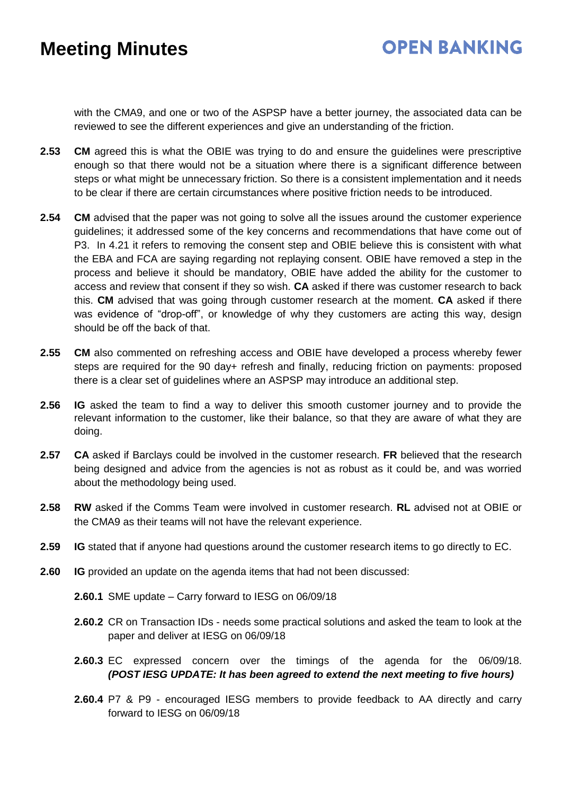## **OPEN BANKING**

with the CMA9, and one or two of the ASPSP have a better journey, the associated data can be reviewed to see the different experiences and give an understanding of the friction.

- **2.53 CM** agreed this is what the OBIE was trying to do and ensure the guidelines were prescriptive enough so that there would not be a situation where there is a significant difference between steps or what might be unnecessary friction. So there is a consistent implementation and it needs to be clear if there are certain circumstances where positive friction needs to be introduced.
- **2.54 CM** advised that the paper was not going to solve all the issues around the customer experience guidelines; it addressed some of the key concerns and recommendations that have come out of P3. In 4.21 it refers to removing the consent step and OBIE believe this is consistent with what the EBA and FCA are saying regarding not replaying consent. OBIE have removed a step in the process and believe it should be mandatory, OBIE have added the ability for the customer to access and review that consent if they so wish. **CA** asked if there was customer research to back this. **CM** advised that was going through customer research at the moment. **CA** asked if there was evidence of "drop-off", or knowledge of why they customers are acting this way, design should be off the back of that.
- **2.55 CM** also commented on refreshing access and OBIE have developed a process whereby fewer steps are required for the 90 day+ refresh and finally, reducing friction on payments: proposed there is a clear set of guidelines where an ASPSP may introduce an additional step.
- **2.56 IG** asked the team to find a way to deliver this smooth customer journey and to provide the relevant information to the customer, like their balance, so that they are aware of what they are doing.
- **2.57 CA** asked if Barclays could be involved in the customer research. **FR** believed that the research being designed and advice from the agencies is not as robust as it could be, and was worried about the methodology being used.
- **2.58 RW** asked if the Comms Team were involved in customer research. **RL** advised not at OBIE or the CMA9 as their teams will not have the relevant experience.
- **2.59 IG** stated that if anyone had questions around the customer research items to go directly to EC.
- **2.60 IG** provided an update on the agenda items that had not been discussed:
	- **2.60.1** SME update Carry forward to IESG on 06/09/18
	- **2.60.2** CR on Transaction IDs needs some practical solutions and asked the team to look at the paper and deliver at IESG on 06/09/18
	- **2.60.3** EC expressed concern over the timings of the agenda for the 06/09/18. *(POST IESG UPDATE: It has been agreed to extend the next meeting to five hours)*
	- **2.60.4** P7 & P9 encouraged IESG members to provide feedback to AA directly and carry forward to IESG on 06/09/18